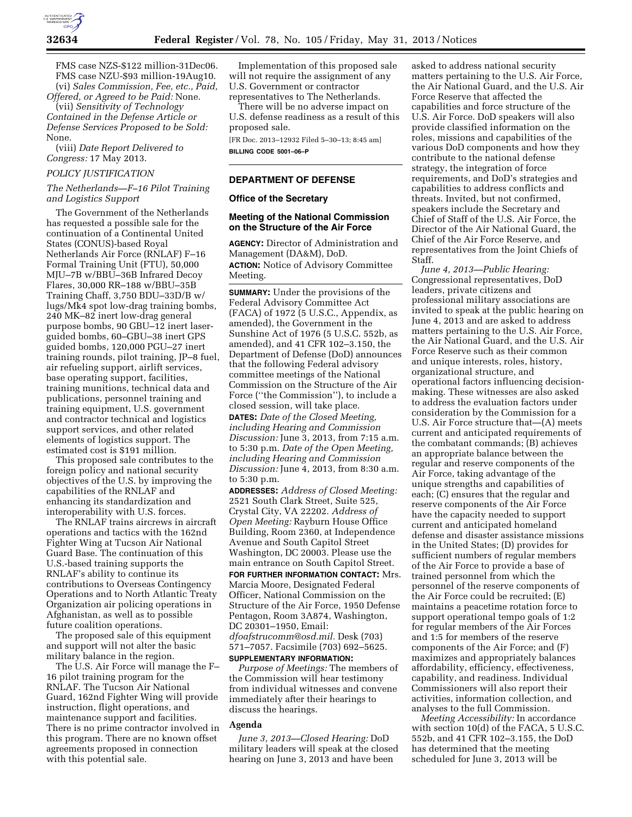

FMS case NZS-\$122 million-31Dec06. FMS case NZU-\$93 million-19Aug10. (vi) *Sales Commission, Fee, etc., Paid,* 

*Offered, or Agreed to be Paid:* None. (vii) *Sensitivity of Technology Contained in the Defense Article or Defense Services Proposed to be Sold:*  None.

(viii) *Date Report Delivered to Congress:* 17 May 2013.

#### *POLICY JUSTIFICATION*

# *The Netherlands—F–16 Pilot Training and Logistics Support*

The Government of the Netherlands has requested a possible sale for the continuation of a Continental United States (CONUS)-based Royal Netherlands Air Force (RNLAF) F–16 Formal Training Unit (FTU), 50,000 MJU–7B w/BBU–36B Infrared Decoy Flares, 30,000 RR–188 w/BBU–35B Training Chaff, 3,750 BDU–33D/B w/ lugs/Mk4 spot low-drag training bombs, 240 MK–82 inert low-drag general purpose bombs, 90 GBU–12 inert laserguided bombs, 60–GBU–38 inert GPS guided bombs, 120,000 PGU–27 inert training rounds, pilot training, JP–8 fuel, air refueling support, airlift services, base operating support, facilities, training munitions, technical data and publications, personnel training and training equipment, U.S. government and contractor technical and logistics support services, and other related elements of logistics support. The estimated cost is \$191 million.

This proposed sale contributes to the foreign policy and national security objectives of the U.S. by improving the capabilities of the RNLAF and enhancing its standardization and interoperability with U.S. forces.

The RNLAF trains aircrews in aircraft operations and tactics with the 162nd Fighter Wing at Tucson Air National Guard Base. The continuation of this U.S.-based training supports the RNLAF's ability to continue its contributions to Overseas Contingency Operations and to North Atlantic Treaty Organization air policing operations in Afghanistan, as well as to possible future coalition operations.

The proposed sale of this equipment and support will not alter the basic military balance in the region.

The U.S. Air Force will manage the F– 16 pilot training program for the RNLAF. The Tucson Air National Guard, 162nd Fighter Wing will provide instruction, flight operations, and maintenance support and facilities. There is no prime contractor involved in this program. There are no known offset agreements proposed in connection with this potential sale.

Implementation of this proposed sale will not require the assignment of any U.S. Government or contractor representatives to The Netherlands.

There will be no adverse impact on U.S. defense readiness as a result of this proposed sale.

[FR Doc. 2013–12932 Filed 5–30–13; 8:45 am] **BILLING CODE 5001–06–P** 

### **DEPARTMENT OF DEFENSE**

### **Office of the Secretary**

### **Meeting of the National Commission on the Structure of the Air Force**

**AGENCY:** Director of Administration and Management (DA&M), DoD. **ACTION:** Notice of Advisory Committee Meeting.

**SUMMARY:** Under the provisions of the Federal Advisory Committee Act (FACA) of 1972 (5 U.S.C., Appendix, as amended), the Government in the Sunshine Act of 1976 (5 U.S.C. 552b, as amended), and 41 CFR 102–3.150, the Department of Defense (DoD) announces that the following Federal advisory committee meetings of the National Commission on the Structure of the Air Force (''the Commission''), to include a closed session, will take place. **DATES:** *Date of the Closed Meeting, including Hearing and Commission Discussion:* June 3, 2013, from 7:15 a.m. to 5:30 p.m. *Date of the Open Meeting, including Hearing and Commission Discussion:* June 4, 2013, from 8:30 a.m. to 5:30 p.m.

**ADDRESSES:** *Address of Closed Meeting:*  2521 South Clark Street, Suite 525, Crystal City, VA 22202. *Address of Open Meeting:* Rayburn House Office Building, Room 2360, at Independence Avenue and South Capitol Street Washington, DC 20003. Please use the main entrance on South Capitol Street.

**FOR FURTHER INFORMATION CONTACT:** Mrs. Marcia Moore, Designated Federal Officer, National Commission on the Structure of the Air Force, 1950 Defense Pentagon, Room 3A874, Washington, DC 20301–1950, Email:

*dfoafstrucomm@osd.mil.* Desk (703) 571–7057. Facsimile (703) 692–5625.

# **SUPPLEMENTARY INFORMATION:**

*Purpose of Meetings:* The members of the Commission will hear testimony from individual witnesses and convene immediately after their hearings to discuss the hearings.

# **Agenda**

*June 3, 2013—Closed Hearing:* DoD military leaders will speak at the closed hearing on June 3, 2013 and have been

asked to address national security matters pertaining to the U.S. Air Force, the Air National Guard, and the U.S. Air Force Reserve that affected the capabilities and force structure of the U.S. Air Force. DoD speakers will also provide classified information on the roles, missions and capabilities of the various DoD components and how they contribute to the national defense strategy, the integration of force requirements, and DoD's strategies and capabilities to address conflicts and threats. Invited, but not confirmed, speakers include the Secretary and Chief of Staff of the U.S. Air Force, the Director of the Air National Guard, the Chief of the Air Force Reserve, and representatives from the Joint Chiefs of Staff.

*June 4, 2013—Public Hearing:*  Congressional representatives, DoD leaders, private citizens and professional military associations are invited to speak at the public hearing on June 4, 2013 and are asked to address matters pertaining to the U.S. Air Force, the Air National Guard, and the U.S. Air Force Reserve such as their common and unique interests, roles, history, organizational structure, and operational factors influencing decisionmaking. These witnesses are also asked to address the evaluation factors under consideration by the Commission for a U.S. Air Force structure that—(A) meets current and anticipated requirements of the combatant commands; (B) achieves an appropriate balance between the regular and reserve components of the Air Force, taking advantage of the unique strengths and capabilities of each; (C) ensures that the regular and reserve components of the Air Force have the capacity needed to support current and anticipated homeland defense and disaster assistance missions in the United States; (D) provides for sufficient numbers of regular members of the Air Force to provide a base of trained personnel from which the personnel of the reserve components of the Air Force could be recruited; (E) maintains a peacetime rotation force to support operational tempo goals of 1:2 for regular members of the Air Forces and 1:5 for members of the reserve components of the Air Force; and (F) maximizes and appropriately balances affordability, efficiency, effectiveness, capability, and readiness. Individual Commissioners will also report their activities, information collection, and analyses to the full Commission.

*Meeting Accessibility:* In accordance with section 10(d) of the FACA, 5 U.S.C. 552b, and 41 CFR 102–3.155, the DoD has determined that the meeting scheduled for June 3, 2013 will be